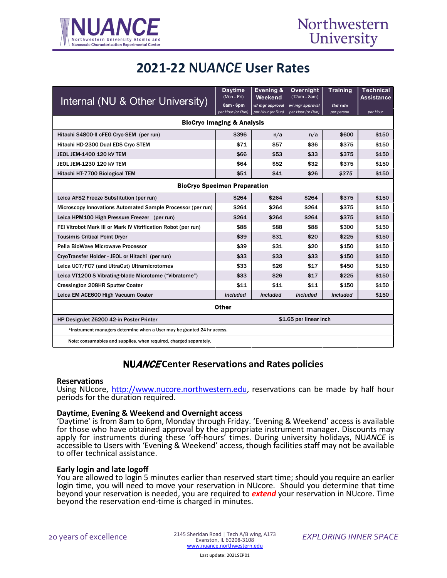

# **2021-22** NU*ANCE* **User Rates**

| Internal (NU & Other University)                                        | <b>Daytime</b><br>(Mon - Fri) | Evening &<br>Weekend | <b>Overnight</b><br>(12am - 8am) | <b>Training</b> | <b>Technical</b><br><b>Assistance</b> |
|-------------------------------------------------------------------------|-------------------------------|----------------------|----------------------------------|-----------------|---------------------------------------|
|                                                                         | 8am - 6pm                     | w/ mgr approval      | w/ mgr approval                  | flat rate       |                                       |
|                                                                         | per Hour (or Run)             | per Hour (or Run)    | per Hour (or Run)                | per person      | per Hour                              |
| <b>BioCryo Imaging &amp; Analysis</b>                                   |                               |                      |                                  |                 |                                       |
| Hitachi S4800-II cFEG Cryo-SEM (per run)                                | \$396                         | n/a                  | n/a                              | \$600           | \$150                                 |
| Hitachi HD-2300 Dual EDS Cryo STEM                                      | \$71                          | \$57                 | \$36                             | \$375           | \$150                                 |
| JEOL JEM-1400 120 KV TEM                                                | \$66                          | \$53                 | \$33                             | \$375           | \$150                                 |
| JEOL JEM-1230 120 kV TEM                                                | \$64                          | \$52                 | \$32                             | \$375           | \$150                                 |
| Hitachi HT-7700 Biological TEM                                          | \$51                          | \$41                 | \$26                             | \$375           | \$150                                 |
| <b>BioCryo Specimen Preparation</b>                                     |                               |                      |                                  |                 |                                       |
| Leica AFS2 Freeze Substitution (per run)                                | \$264                         | \$264                | \$264                            | \$375           | \$150                                 |
| Microscopy Innovations Automated Sample Processor (per run)             | \$264                         | \$264                | \$264                            | \$375           | \$150                                 |
| Leica HPM100 High Pressure Freezer (per run)                            | \$264                         | \$264                | \$264                            | \$375           | \$150                                 |
| FEI Vitrobot Mark III or Mark IV Vitrification Robot (per run)          | \$88                          | \$88                 | \$88                             | \$300           | \$150                                 |
| <b>Tousimis Critical Point Dryer</b>                                    | \$39                          | \$31                 | \$20                             | \$225           | \$150                                 |
| Pella BioWave Microwave Processor                                       | \$39                          | \$31                 | \$20                             | \$150           | \$150                                 |
| CryoTransfer Holder - JEOL or Hitachi (per run)                         | \$33                          | \$33                 | \$33                             | \$150           | \$150                                 |
| Leica UC7/FC7 (and UltraCut) Ultramicrotomes                            | \$33                          | \$26                 | \$17                             | \$450           | \$150                                 |
| Leica VT1200 S Vibrating-blade Microtome ("Vibratome")                  | \$33                          | \$26                 | \$17                             | \$225           | \$150                                 |
| <b>Cressington 208HR Sputter Coater</b>                                 | \$11                          | \$11                 | \$11                             | \$150           | \$150                                 |
| Leica EM ACE600 High Vacuum Coater                                      | included                      | included             | included                         | included        | \$150                                 |
| <b>Other</b>                                                            |                               |                      |                                  |                 |                                       |
| HP DesignJet Z6200 42-in Poster Printer                                 | \$1.65 per linear inch        |                      |                                  |                 |                                       |
| *Instrument managers determine when a User may be granted 24 hr access. |                               |                      |                                  |                 |                                       |
| Note: consumables and supplies, when required, charged separately.      |                               |                      |                                  |                 |                                       |

## NUANCE **Center Reservations and Rates policies**

### **Reservations**

Using NUcore, [http://www.nucore.northwestern.edu,](http://www.nucore.northwestern.edu/) reservations can be made by half hour periods for the duration required.

**Daytime, Evening & Weekend and Overnight access**<br>'Daytime' is from 8am to 6pm, Monday through Friday. 'Evening & Weekend' access is available for those who have obtained approval by the appropriate instrument manager. Discounts may apply for instruments during these 'off-hours' times. During university holidays, NU*ANCE* is accessible to Users with 'Evening & Weekend' access, though facilities staff may not be available to offer technical assistance.

### **Early login and late logoff**

You are allowed to login 5 minutes earlier than reserved start time; should you require an earlier login time, you will need to move your reservation in NUcore. Should you determine that time beyond your reservation is needed, you are required to *extend* your reservation in NUcore. Time beyond the reservation end-time is charged in minutes.